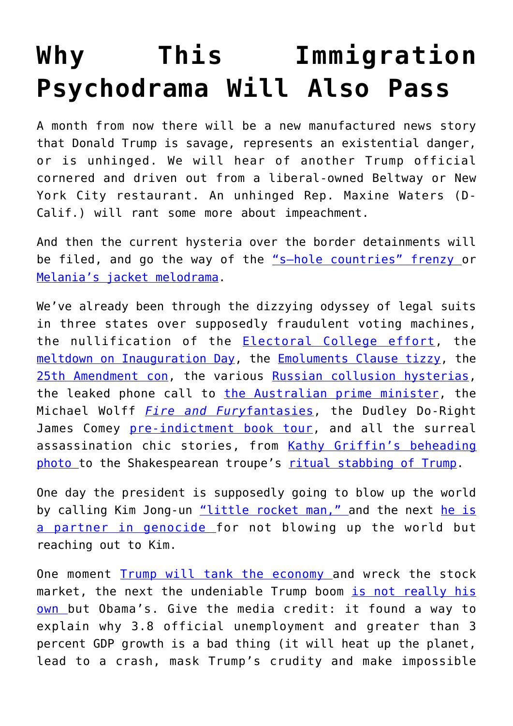## **[Why This Immigration](https://intellectualtakeout.org/2018/06/why-this-immigration-psychodrama-will-also-pass/) [Psychodrama Will Also Pass](https://intellectualtakeout.org/2018/06/why-this-immigration-psychodrama-will-also-pass/)**

A month from now there will be a new manufactured news story that Donald Trump is savage, represents an existential danger, or is unhinged. We will hear of another Trump official cornered and driven out from a liberal-owned Beltway or New York City restaurant. An unhinged Rep. Maxine Waters (D-Calif.) will rant some more about impeachment.

And then the current hysteria over the border detainments will be filed, and go the way of the ["s—hole countries" frenzy](https://amgreatness.com/2018/01/12/shithole-gate-toxic-double-standards/) or [Melania's jacket melodrama.](https://amgreatness.com/2018/06/22/the-jacket-and-the-jackasses/)

We've already been through the dizzying odyssey of legal suits in three states over supposedly fraudulent voting machines, the nullification of the [Electoral College effort](https://www.cnn.com/2016/12/19/politics/electoral-college-donald-trump-vote/index.html), the [meltdown on Inauguration Day,](https://www.cnn.com/2017/01/19/politics/trump-inauguration-protests-womens-march/index.html) the [Emoluments Clause tizzy,](https://lacrossetribune.com/news/opinion/joel-mathis-and-ben-boychuk-is-donald-trump-already-running/article_e02a9f8a-6405-57b9-b49a-f718b9585a71.html) the [25th Amendment con,](http://www.foxnews.com/opinion/2017/07/05/trump-and-25th-amendment-constitution-or-coup.html) the various [Russian collusion hysterias,](https://amgreatness.com/2017/06/14/fire-mueller-end-witch-hunt/) the leaked phone call to [the Australian prime minister,](http://www.businessinsider.com/trump-australia-prime-minister-phone-call-2017-2) the Michael Wolff *[Fire and Fury](https://amgreatness.com/2018/01/10/michael-wolff-trump-big-favor/)*[fantasies](https://amgreatness.com/2018/01/10/michael-wolff-trump-big-favor/), the Dudley Do-Right James Comey [pre-indictment book tour](https://amgreatness.com/2018/04/19/the-ever-shrinking-james-comey/), and all the surreal assassination chic stories, from [Kathy Griffin's beheading](https://www.tmz.com/2017/05/30/kathy-griffin-beheads-donald-trump-photo-tyler-shields/) [photo](https://www.tmz.com/2017/05/30/kathy-griffin-beheads-donald-trump-photo-tyler-shields/) to the Shakespearean troupe's [ritual stabbing of Trump](https://www.nationalreview.com/2017/06/trump-julius-ceasar-shakespeare-park-left-trump-obsession-making-art-boring/).

One day the president is supposedly going to blow up the world by calling Kim Jong-un ["little rocket man," a](https://www.politico.com/story/2017/09/22/trump-little-rocket-man-north-korea-kim-jong-un-243045)nd the next [he is](https://ijr.com/2018/04/1084650-joy-behar-suggests-moral-equivalence-between-trump-kim-jong-un/) [a partner in genocide](https://ijr.com/2018/04/1084650-joy-behar-suggests-moral-equivalence-between-trump-kim-jong-un/) for not blowing up the world but reaching out to Kim.

One moment [Trump will tank the economy](https://www.nytimes.com/interactive/projects/cp/opinion/election-night-2016/paul-krugman-the-economic-fallout) and wreck the stock market, the next the undeniable Trump boom [is not really his](http://www.businessinsider.com/paul-krugman-trump-stock-market-2017-12) [own b](http://www.businessinsider.com/paul-krugman-trump-stock-market-2017-12)ut Obama's. Give the media credit: it found a way to explain why 3.8 official unemployment and greater than 3 percent GDP growth is a bad thing (it will heat up the planet, lead to a crash, mask Trump's crudity and make impossible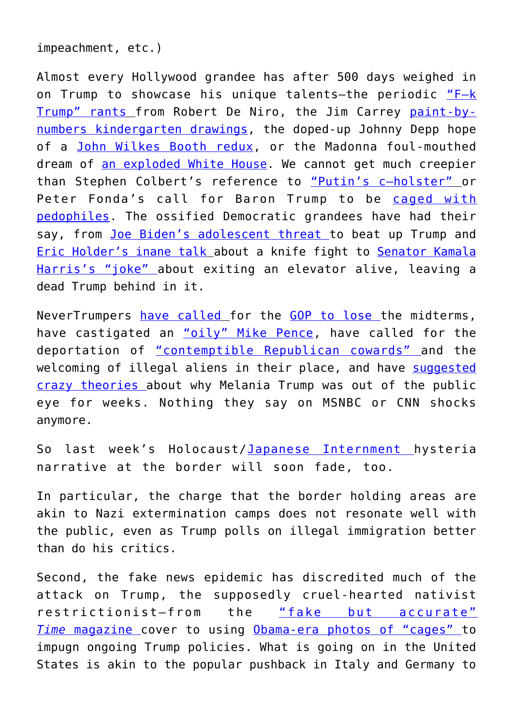impeachment, etc.)

Almost every Hollywood grandee has after 500 days weighed in on Trump to showcase his unique talents—the periodic ["F–k](https://amgreatness.com/2018/06/15/vito-corleone-is-a-snowflake/) [Trump" rants](https://amgreatness.com/2018/06/15/vito-corleone-is-a-snowflake/) from Robert De Niro, the Jim Carrey [paint-by](http://www.foxnews.com/entertainment/2018/06/12/jim-carrey-crudely-mocks-trump-kim-summit-in-latest-artwork.html)[numbers kindergarten drawings,](http://www.foxnews.com/entertainment/2018/06/12/jim-carrey-crudely-mocks-trump-kim-summit-in-latest-artwork.html) the doped-up Johnny Depp hope of a [John Wilkes Booth redux](https://www.nytimes.com/2017/06/23/arts/johnny-depp-glastonbury-trump.html), or the Madonna foul-mouthed dream of [an exploded White House](https://www.cbsnews.com/news/madonna-explains-anti-trump-speech-womens-march-dc/). We cannot get much creepier than Stephen Colbert's reference to "Putin's c-holster" or Peter Fonda's call for Baron Trump to be [caged with](https://amgreatness.com/2018/06/21/peter-fonda-born-to-be-wild-and-loathsome/) [pedophiles](https://amgreatness.com/2018/06/21/peter-fonda-born-to-be-wild-and-loathsome/). The ossified Democratic grandees have had their say, from [Joe Biden's adolescent threat](http://www.newsweek.com/biden-trump-beat-hell-grab-855146) to beat up Trump and [Eric Holder's inane talk](https://www.americanthinker.com/blog/2018/03/ragedemocrats_return_eric_holder_vows_to_knife_the_gop.html) about a knife fight to [Senator Kamala](https://ntknetwork.com/kamala-harris-jokes-on-being-in-elevator-with-trump-does-one-of-us-have-to-come-out-alive/) [Harris's "joke"](https://ntknetwork.com/kamala-harris-jokes-on-being-in-elevator-with-trump-does-one-of-us-have-to-come-out-alive/) about exiting an elevator alive, leaving a dead Trump behind in it.

NeverTrumpers [have called](https://www.washingtonpost.com/opinions/to-save-the-gop-republicans-have-to-lose/2017/12/14/e1002048-e10e-11e7-89e8-edec16379010_story.html?utm_term=.7cc7ac243a27) for the [GOP to lose t](https://www.washingtonpost.com/opinions/vote-against-the-gop-this-november/2018/06/22/a6378306-7575-11e8-b4b7-308400242c2e_story.html?noredirect=on&utm_term=.afc2d79e70b5)he midterms, have castigated an ["oily" Mike Pence](https://www.washingtonpost.com/opinions/trump-is-no-longer-the-worst-person-in-government/2018/05/09/10e59eba-52f1-11e8-a551-5b648abe29ef_story.html?utm_term=.baeaad6a8570), have called for the deportation of ["contemptible Republican cowards" a](https://www.washingtonpost.com/news/global-opinions/wp/2018/06/18/has-trump-finally-gone-too-far/?utm_term=.c5cee77171d5)nd the welcoming of illegal aliens in their place, and have [suggested](https://www.salon.com/2018/06/09/melania-trump-gone-girl-flotus-why-wild-theories-about-the-first-lady-arent-going-to-stop/) [crazy theories a](https://www.salon.com/2018/06/09/melania-trump-gone-girl-flotus-why-wild-theories-about-the-first-lady-arent-going-to-stop/)bout why Melania Trump was out of the public eye for weeks. Nothing they say on MSNBC or CNN shocks anymore.

So last week's Holocaust/[Japanese Internment h](https://amgreatness.com/2018/06/21/trumps-immigration-policies-arent-like-japanese-internment/)ysteria narrative at the border will soon fade, too.

In particular, the charge that the border holding areas are akin to Nazi extermination camps does not resonate well with the public, even as Trump polls on illegal immigration better than do his critics.

Second, the fake news epidemic has discredited much of the attack on Trump, the supposedly cruel-hearted nativist restrictionist—from the ["fake but accurate"](https://amgreatness.com/2018/06/22/the-crying-game/) *[Time](https://amgreatness.com/2018/06/22/the-crying-game/)* [magazine c](https://amgreatness.com/2018/06/22/the-crying-game/)over to using [Obama-era photos of "cages"](https://amgreatness.com/2018/05/29/twitter-weeps-over-migrant-children-in-cages-until-they-find-out-obama-did-it/) to impugn ongoing Trump policies. What is going on in the United States is akin to the popular pushback in Italy and Germany to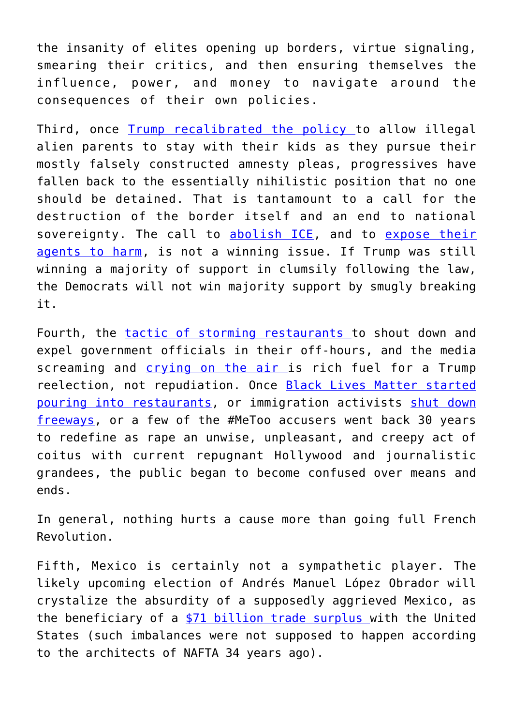the insanity of elites opening up borders, virtue signaling, smearing their critics, and then ensuring themselves the influence, power, and money to navigate around the consequences of their own policies.

Third, once [Trump recalibrated the policy t](https://www.usatoday.com/story/news/politics/2018/06/20/homeland-security-drafts-plan-end-separations-border/717898002/)o allow illegal alien parents to stay with their kids as they pursue their mostly falsely constructed amnesty pleas, progressives have fallen back to the essentially nihilistic position that no one should be detained. That is tantamount to a call for the destruction of the border itself and an end to national sovereignty. The call to [abolish ICE](https://www.nbcnews.com/politics/elections/abolish-ice-new-rallying-cry-progressive-democrats-n885501), and to [expose their](http://dailycaller.com/2018/06/20/antifa-doxxing-professor-nyu-ice/) [agents to harm](http://dailycaller.com/2018/06/20/antifa-doxxing-professor-nyu-ice/), is not a winning issue. If Trump was still winning a majority of support in clumsily following the law, the Democrats will not win majority support by smugly breaking it.

Fourth, the [tactic of storming restaurants](https://www.nytimes.com/2018/06/20/us/kirstjen-nielsen-protesters-restaurant.html) to shout down and expel government officials in their off-hours, and the media screaming and [crying on the air](https://www.washingtonpost.com/news/morning-mix/wp/2018/06/20/rachel-maddow-breaks-down-in-tears-on-air-while-reading-report-on-tender-age-shelters/?utm_term=.876367eb8bc0) is rich fuel for a Trump reelection, not repudiation. Once **[Black Lives Matter started](http://gawker.com/blacklivesmatter-protesters-hit-whites-where-it-truly-1677554997)** [pouring into restaurants,](http://gawker.com/blacklivesmatter-protesters-hit-whites-where-it-truly-1677554997) or immigration activists [shut down](https://losangeles.cbslocal.com/2016/01/26/immigration-protest-shuts-down-downtown-la-intersection/) [freeways,](https://losangeles.cbslocal.com/2016/01/26/immigration-protest-shuts-down-downtown-la-intersection/) or a few of the #MeToo accusers went back 30 years to redefine as rape an unwise, unpleasant, and creepy act of coitus with current repugnant Hollywood and journalistic grandees, the public began to become confused over means and ends.

In general, nothing hurts a cause more than going full French Revolution.

Fifth, Mexico is certainly not a sympathetic player. The likely upcoming election of Andrés Manuel López Obrador will crystalize the absurdity of a supposedly aggrieved Mexico, as the beneficiary of a [\\$71 billion trade surplus](https://www.thebalance.com/trade-deficit-by-county-3306264) with the United States (such imbalances were not supposed to happen according to the architects of NAFTA 34 years ago).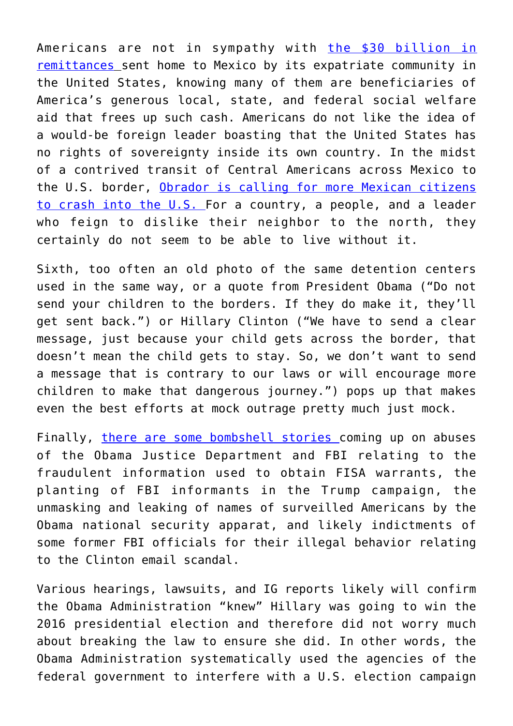Americans are not in sympathy with [the \\$30 billion in](https://amgreatness.com/2018/06/20/remittances-illegal-immigrations-30-billion-hidden-tax/) [remittances](https://amgreatness.com/2018/06/20/remittances-illegal-immigrations-30-billion-hidden-tax/) sent home to Mexico by its expatriate community in the United States, knowing many of them are beneficiaries of America's generous local, state, and federal social welfare aid that frees up such cash. Americans do not like the idea of a would-be foreign leader boasting that the United States has no rights of sovereignty inside its own country. In the midst of a contrived transit of Central Americans across Mexico to the U.S. border, [Obrador is calling for more Mexican citizens](http://dailycaller.com/2018/06/22/mexican-candidate-immigration-speech/) [to crash into the U.S.](http://dailycaller.com/2018/06/22/mexican-candidate-immigration-speech/) For a country, a people, and a leader who feign to dislike their neighbor to the north, they certainly do not seem to be able to live without it.

Sixth, too often an old photo of the same detention centers used in the same way, or a quote from President Obama ("Do not send your children to the borders. If they do make it, they'll get sent back.") or Hillary Clinton ("We have to send a clear message, just because your child gets across the border, that doesn't mean the child gets to stay. So, we don't want to send a message that is contrary to our laws or will encourage more children to make that dangerous journey.") pops up that makes even the best efforts at mock outrage pretty much just mock.

Finally, [there are some bombshell stories c](https://amgreatness.com/2018/06/22/what-you-missed-from-michael-horowitzs-testimony/)oming up on abuses of the Obama Justice Department and FBI relating to the fraudulent information used to obtain FISA warrants, the planting of FBI informants in the Trump campaign, the unmasking and leaking of names of surveilled Americans by the Obama national security apparat, and likely indictments of some former FBI officials for their illegal behavior relating to the Clinton email scandal.

Various hearings, lawsuits, and IG reports likely will confirm the Obama Administration "knew" Hillary was going to win the 2016 presidential election and therefore did not worry much about breaking the law to ensure she did. In other words, the Obama Administration systematically used the agencies of the federal government to interfere with a U.S. election campaign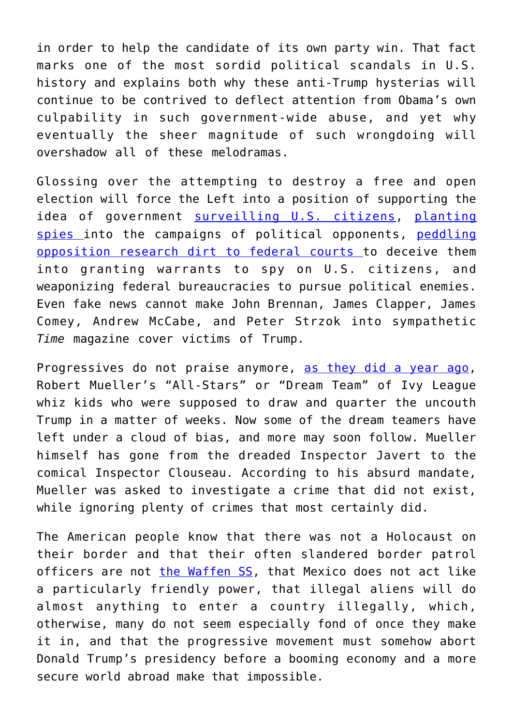in order to help the candidate of its own party win. That fact marks one of the most sordid political scandals in U.S. history and explains both why these anti-Trump hysterias will continue to be contrived to deflect attention from Obama's own culpability in such government-wide abuse, and yet why eventually the sheer magnitude of such wrongdoing will overshadow all of these melodramas.

Glossing over the attempting to destroy a free and open election will force the Left into a position of supporting the idea of government [surveilling U.S. citizens](https://amgreatness.com/2018/06/03/carter-page-is-the-biggest-victim-in-the-trump-russia-hoax/), [planting](https://amgreatness.com/2018/05/30/spygate-the-coming-storm/) [spies i](https://amgreatness.com/2018/05/30/spygate-the-coming-storm/)nto the campaigns of political opponents, [peddling](https://amgreatness.com/2018/02/08/fisa-gate-scarier-watergate/) [opposition research dirt to federal courts](https://amgreatness.com/2018/02/08/fisa-gate-scarier-watergate/) to deceive them into granting warrants to spy on U.S. citizens, and weaponizing federal bureaucracies to pursue political enemies. Even fake news cannot make John Brennan, James Clapper, James Comey, Andrew McCabe, and Peter Strzok into sympathetic *Time* magazine cover victims of Trump.

Progressives do not praise anymore, [as they did a year ago,](https://www.thedailybeast.com/inside-robert-muellers-army) Robert Mueller's "All-Stars" or "Dream Team" of Ivy League whiz kids who were supposed to draw and quarter the uncouth Trump in a matter of weeks. Now some of the dream teamers have left under a cloud of bias, and more may soon follow. Mueller himself has gone from the dreaded Inspector Javert to the comical Inspector Clouseau. According to his absurd mandate, Mueller was asked to investigate a crime that did not exist, while ignoring plenty of crimes that most certainly did.

The American people know that there was not a Holocaust on their border and that their often slandered border patrol officers are not [the Waffen SS](https://www.britannica.com/topic/SS), that Mexico does not act like a particularly friendly power, that illegal aliens will do almost anything to enter a country illegally, which, otherwise, many do not seem especially fond of once they make it in, and that the progressive movement must somehow abort Donald Trump's presidency before a booming economy and a more secure world abroad make that impossible.